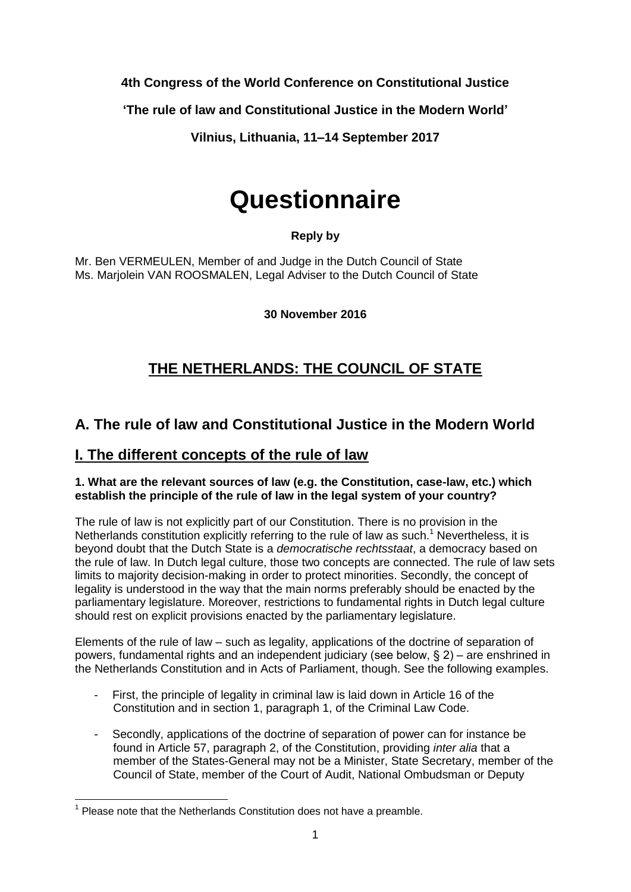**4th Congress of the World Conference on Constitutional Justice**

**'The rule of law and Constitutional Justice in the Modern World'** 

**Vilnius, Lithuania, 11–14 September 2017**

# **Questionnaire**

## **Reply by**

Mr. Ben VERMEULEN, Member of and Judge in the Dutch Council of State Ms. Marjolein VAN ROOSMALEN, Legal Adviser to the Dutch Council of State

**30 November 2016**

## **THE NETHERLANDS: THE COUNCIL OF STATE**

## **A. The rule of law and Constitutional Justice in the Modern World**

## **I. The different concepts of the rule of law**

#### **1. What are the relevant sources of law (e.g. the Constitution, case-law, etc.) which establish the principle of the rule of law in the legal system of your country?**

The rule of law is not explicitly part of our Constitution. There is no provision in the Netherlands constitution explicitly referring to the rule of law as such.<sup>1</sup> Nevertheless, it is beyond doubt that the Dutch State is a *democratische rechtsstaat*, a democracy based on the rule of law. In Dutch legal culture, those two concepts are connected. The rule of law sets limits to majority decision-making in order to protect minorities. Secondly, the concept of legality is understood in the way that the main norms preferably should be enacted by the parliamentary legislature. Moreover, restrictions to fundamental rights in Dutch legal culture should rest on explicit provisions enacted by the parliamentary legislature.

Elements of the rule of law – such as legality, applications of the doctrine of separation of powers, fundamental rights and an independent judiciary (see below, § 2) – are enshrined in the Netherlands Constitution and in Acts of Parliament, though. See the following examples.

- First, the principle of legality in criminal law is laid down in Article 16 of the Constitution and in section 1, paragraph 1, of the Criminal Law Code.
- Secondly, applications of the doctrine of separation of power can for instance be found in Article 57, paragraph 2, of the Constitution, providing *inter alia* that a member of the States-General may not be a Minister, State Secretary, member of the Council of State, member of the Court of Audit, National Ombudsman or Deputy

 1 Please note that the Netherlands Constitution does not have a preamble.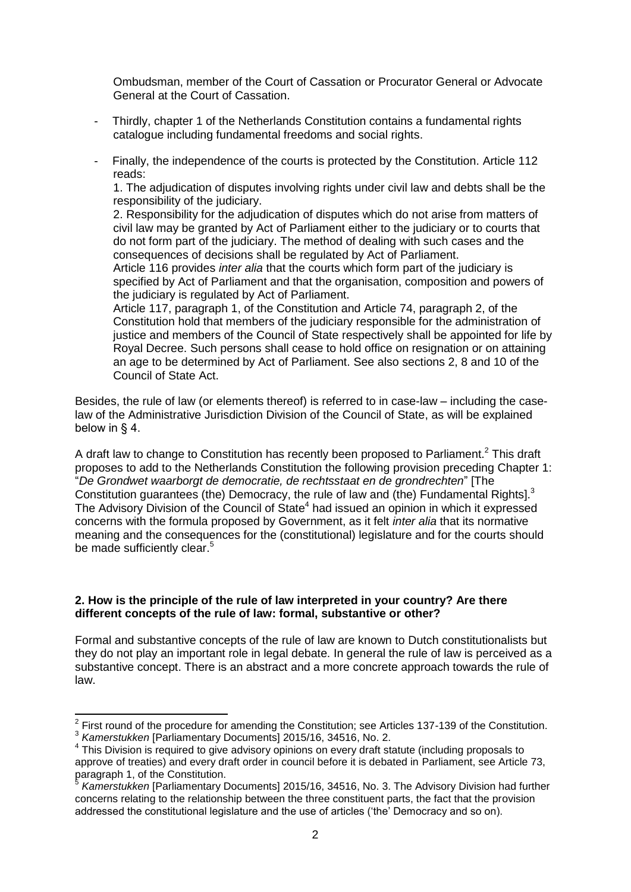Ombudsman, member of the Court of Cassation or Procurator General or Advocate General at the Court of Cassation.

- Thirdly, chapter 1 of the Netherlands Constitution contains a fundamental rights catalogue including fundamental freedoms and social rights.
- Finally, the independence of the courts is protected by the Constitution. Article 112 reads:

1. The adjudication of disputes involving rights under civil law and debts shall be the responsibility of the judiciary.

2. Responsibility for the adjudication of disputes which do not arise from matters of civil law may be granted by Act of Parliament either to the judiciary or to courts that do not form part of the judiciary. The method of dealing with such cases and the consequences of decisions shall be regulated by Act of Parliament.

Article 116 provides *inter alia* that the courts which form part of the judiciary is specified by Act of Parliament and that the organisation, composition and powers of the judiciary is regulated by Act of Parliament.

Article 117, paragraph 1, of the Constitution and Article 74, paragraph 2, of the Constitution hold that members of the judiciary responsible for the administration of justice and members of the Council of State respectively shall be appointed for life by Royal Decree. Such persons shall cease to hold office on resignation or on attaining an age to be determined by Act of Parliament. See also sections 2, 8 and 10 of the Council of State Act.

Besides, the rule of law (or elements thereof) is referred to in case-law – including the caselaw of the Administrative Jurisdiction Division of the Council of State, as will be explained below in § 4.

A draft law to change to Constitution has recently been proposed to Parliament.<sup>2</sup> This draft proposes to add to the Netherlands Constitution the following provision preceding Chapter 1: "*De Grondwet waarborgt de democratie, de rechtsstaat en de grondrechten*" [The Constitution guarantees (the) Democracy, the rule of law and (the) Fundamental Rights].<sup>3</sup> The Advisory Division of the Council of State<sup>4</sup> had issued an opinion in which it expressed concerns with the formula proposed by Government, as it felt *inter alia* that its normative meaning and the consequences for the (constitutional) legislature and for the courts should be made sufficiently clear.<sup>5</sup>

#### **2. How is the principle of the rule of law interpreted in your country? Are there different concepts of the rule of law: formal, substantive or other?**

1

Formal and substantive concepts of the rule of law are known to Dutch constitutionalists but they do not play an important role in legal debate. In general the rule of law is perceived as a substantive concept. There is an abstract and a more concrete approach towards the rule of law.

 $2$  First round of the procedure for amending the Constitution; see Articles 137-139 of the Constitution. 3 *Kamerstukken* [Parliamentary Documents] 2015/16, 34516, No. 2.

<sup>&</sup>lt;sup>4</sup> This Division is required to give advisory opinions on every draft statute (including proposals to approve of treaties) and every draft order in council before it is debated in Parliament, see Article 73, paragraph 1, of the Constitution.<br>
S. Komerctukken Postiomenter u

*Kamerstukken* [Parliamentary Documents] 2015/16, 34516, No. 3. The Advisory Division had further concerns relating to the relationship between the three constituent parts, the fact that the provision addressed the constitutional legislature and the use of articles ('the' Democracy and so on).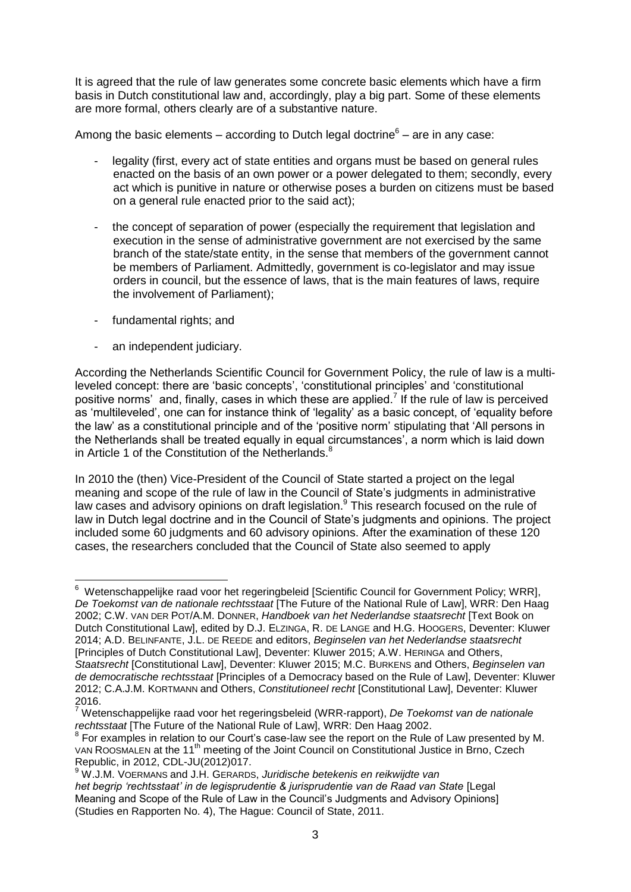It is agreed that the rule of law generates some concrete basic elements which have a firm basis in Dutch constitutional law and, accordingly, play a big part. Some of these elements are more formal, others clearly are of a substantive nature.

Among the basic elements – according to Dutch legal doctrine $6$  – are in any case:

- legality (first, every act of state entities and organs must be based on general rules enacted on the basis of an own power or a power delegated to them; secondly, every act which is punitive in nature or otherwise poses a burden on citizens must be based on a general rule enacted prior to the said act);
- the concept of separation of power (especially the requirement that legislation and execution in the sense of administrative government are not exercised by the same branch of the state/state entity, in the sense that members of the government cannot be members of Parliament. Admittedly, government is co-legislator and may issue orders in council, but the essence of laws, that is the main features of laws, require the involvement of Parliament);
- fundamental rights; and
- an independent judiciary.

According the Netherlands Scientific Council for Government Policy, the rule of law is a multileveled concept: there are 'basic concepts', 'constitutional principles' and 'constitutional positive norms' and, finally, cases in which these are applied.<sup>7</sup> If the rule of law is perceived as 'multileveled', one can for instance think of 'legality' as a basic concept, of 'equality before the law' as a constitutional principle and of the 'positive norm' stipulating that 'All persons in the Netherlands shall be treated equally in equal circumstances', a norm which is laid down in Article 1 of the Constitution of the Netherlands.<sup>8</sup>

<span id="page-2-0"></span>In 2010 the (then) Vice-President of the Council of State started a project on the legal meaning and scope of the rule of law in the Council of State's judgments in administrative law cases and advisory opinions on draft legislation.<sup>9</sup> This research focused on the rule of law in Dutch legal doctrine and in the Council of State's judgments and opinions. The project included some 60 judgments and 60 advisory opinions. After the examination of these 120 cases, the researchers concluded that the Council of State also seemed to apply

\_\_\_\_\_\_\_\_\_\_\_\_\_\_\_\_\_\_\_\_\_\_\_\_\_\_\_\_\_\_\_\_\_\_\_<br><sup>6</sup> Wetenschappelijke raad voor het regeringbeleid [Scientific Council for Government Policy; WRR], *De Toekomst van de nationale rechtsstaat* [The Future of the National Rule of Law], WRR: Den Haag 2002; C.W. VAN DER POT/A.M. DONNER, *Handboek van het Nederlandse staatsrecht* [Text Book on Dutch Constitutional Law], edited by D.J. ELZINGA, R. DE LANGE and H.G. HOOGERS, Deventer: Kluwer 2014; A.D. BELINFANTE, J.L. DE REEDE and editors, *Beginselen van het Nederlandse staatsrecht* [Principles of Dutch Constitutional Law], Deventer: Kluwer 2015; A.W. HERINGA and Others, *Staatsrecht* [Constitutional Law], Deventer: Kluwer 2015; M.C. BURKENS and Others, *Beginselen van de democratische rechtsstaat* [Principles of a Democracy based on the Rule of Law], Deventer: Kluwer 2012; C.A.J.M. KORTMANN and Others, *Constitutioneel recht* [Constitutional Law], Deventer: Kluwer 2016.

<sup>7</sup> Wetenschappelijke raad voor het regeringsbeleid (WRR-rapport), *De Toekomst van de nationale rechtsstaat* [The Future of the National Rule of Law], WRR: Den Haag 2002.

 $8$  For examples in relation to our Court's case-law see the report on the Rule of Law presented by M. VAN ROOSMALEN at the 11<sup>th</sup> meeting of the Joint Council on Constitutional Justice in Brno, Czech Republic, in 2012, CDL-JU(2012)017.

<sup>9</sup> W.J.M. VOERMANS and J.H. GERARDS, *Juridische betekenis en reikwijdte van* het begrip 'rechtsstaat' in de legisprudentie & jurisprudentie van de Raad van State [Legal Meaning and Scope of the Rule of Law in the Council's Judgments and Advisory Opinions] (Studies en Rapporten No. 4), The Hague: Council of State, 2011.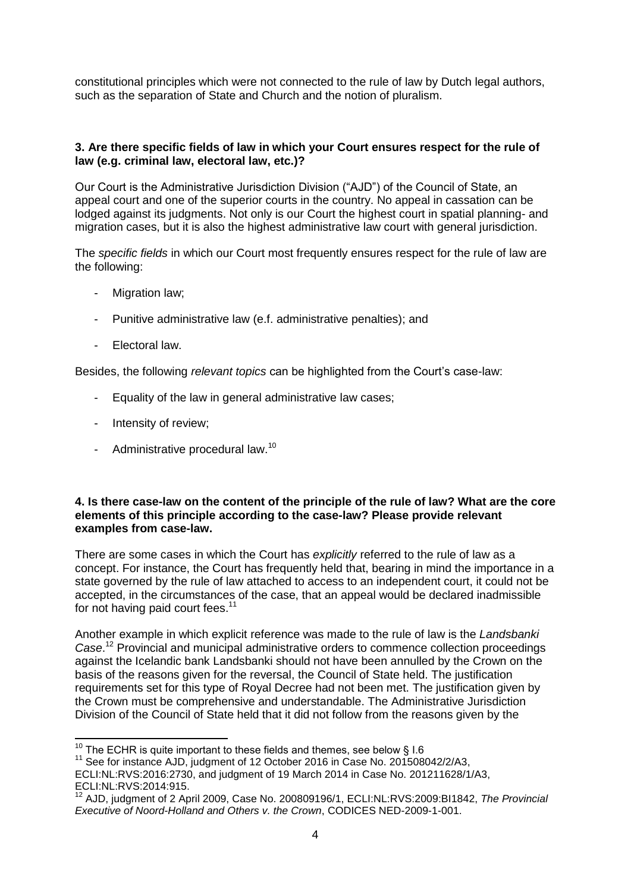constitutional principles which were not connected to the rule of law by Dutch legal authors, such as the separation of State and Church and the notion of pluralism.

#### **3. Are there specific fields of law in which your Court ensures respect for the rule of law (e.g. criminal law, electoral law, etc.)?**

Our Court is the Administrative Jurisdiction Division ("AJD") of the Council of State, an appeal court and one of the superior courts in the country. No appeal in cassation can be lodged against its judgments. Not only is our Court the highest court in spatial planning- and migration cases, but it is also the highest administrative law court with general jurisdiction.

The *specific fields* in which our Court most frequently ensures respect for the rule of law are the following:

- Migration law;
- Punitive administrative law (e.f. administrative penalties); and
- Electoral law.

Besides, the following *relevant topics* can be highlighted from the Court's case-law:

- Equality of the law in general administrative law cases;
- Intensity of review;
- Administrative procedural law.<sup>10</sup>

#### **4. Is there case-law on the content of the principle of the rule of law? What are the core elements of this principle according to the case-law? Please provide relevant examples from case-law.**

There are some cases in which the Court has *explicitly* referred to the rule of law as a concept. For instance, the Court has frequently held that, bearing in mind the importance in a state governed by the rule of law attached to access to an independent court, it could not be accepted, in the circumstances of the case, that an appeal would be declared inadmissible for not having paid court fees.<sup>11</sup>

Another example in which explicit reference was made to the rule of law is the *Landsbanki Case*. <sup>12</sup> Provincial and municipal administrative orders to commence collection proceedings against the Icelandic bank Landsbanki should not have been annulled by the Crown on the basis of the reasons given for the reversal, the Council of State held. The justification requirements set for this type of Royal Decree had not been met. The justification given by the Crown must be comprehensive and understandable. The Administrative Jurisdiction Division of the Council of State held that it did not follow from the reasons given by the

 $\overline{a}$  $^{10}$  The ECHR is quite important to these fields and themes, see below § I.6

<sup>&</sup>lt;sup>11</sup> See for instance AJD, judgment of 12 October 2016 in Case No. 201508042/2/A3,

ECLI:NL:RVS:2016:2730, and judgment of 19 March 2014 in Case No. 201211628/1/A3, ECLI:NL:RVS:2014:915.

<sup>12</sup> AJD, judgment of 2 April 2009, Case No. 200809196/1, ECLI:NL:RVS:2009:BI1842, *The Provincial Executive of Noord-Holland and Others v. the Crown*, CODICES NED-2009-1-001.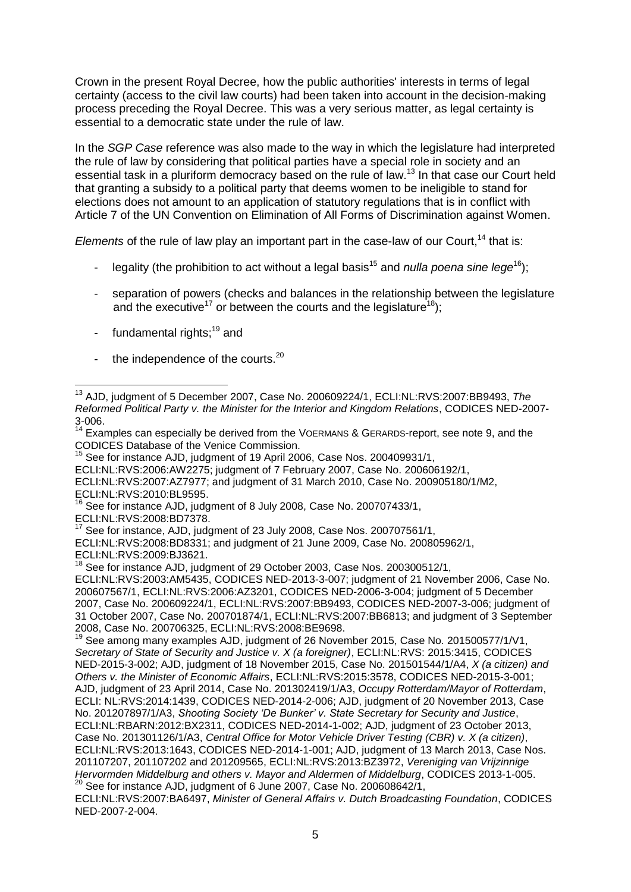Crown in the present Royal Decree, how the public authorities' interests in terms of legal certainty (access to the civil law courts) had been taken into account in the decision-making process preceding the Royal Decree. This was a very serious matter, as legal certainty is essential to a democratic state under the rule of law.

In the *SGP Case* reference was also made to the way in which the legislature had interpreted the rule of law by considering that political parties have a special role in society and an essential task in a pluriform democracy based on the rule of law.<sup>13</sup> In that case our Court held that granting a subsidy to a political party that deems women to be ineligible to stand for elections does not amount to an application of statutory regulations that is in conflict with Article 7 of the UN Convention on Elimination of All Forms of Discrimination against Women.

*Elements* of the rule of law play an important part in the case-law of our Court.<sup>14</sup> that is:

- legality (the prohibition to act without a legal basis<sup>15</sup> and *nulla poena sine lege*<sup>16</sup>);
- separation of powers (checks and balances in the relationship between the legislature and the executive<sup>17</sup> or between the courts and the legislature<sup>18</sup>);
- fundamental rights; $19$  and
- the independence of the courts. $20$

ECLI:NL:RVS:2006:AW2275; judgment of 7 February 2007, Case No. 200606192/1,

ECLI:NL:RVS:2007:AZ7977; and judgment of 31 March 2010, Case No. 200905180/1/M2, ECLI:NL:RVS:2010:BL9595.

 $16$  See for instance AJD, judgment of 8 July 2008, Case No. 200707433/1,

ECLI:NL:RVS:2008:BD7378.

See for instance, AJD, judgment of 23 July 2008, Case Nos. 200707561/1,

ECLI:NL:RVS:2008:BD8331; and judgment of 21 June 2009, Case No. 200805962/1, ECLI:NL:RVS:2009:BJ3621.

See for instance AJD, judgment of 29 October 2003, Case Nos. 200300512/1,

ECLI:NL:RVS:2003:AM5435, CODICES NED-2013-3-007; judgment of 21 November 2006, Case No. 200607567/1, ECLI:NL:RVS:2006:AZ3201, CODICES NED-2006-3-004; judgment of 5 December 2007, Case No. 200609224/1, ECLI:NL:RVS:2007:BB9493, CODICES NED-2007-3-006; judgment of 31 October 2007, Case No. 200701874/1, ECLI:NL:RVS:2007:BB6813; and judgment of 3 September 2008, Case No. 200706325, ECLI:NL:RVS:2008:BE9698.

<sup>19</sup> See among many examples AJD, judgment of 26 November 2015, Case No. 201500577/1/V1, *Secretary of State of Security and Justice v. X (a foreigner)*, ECLI:NL:RVS: 2015:3415, CODICES NED-2015-3-002; AJD, judgment of 18 November 2015, Case No. 201501544/1/A4, *X (a citizen) and Others v. the Minister of Economic Affairs*, ECLI:NL:RVS:2015:3578, CODICES NED-2015-3-001; AJD, judgment of 23 April 2014, Case No. 201302419/1/A3, *Occupy Rotterdam/Mayor of Rotterdam*, ECLI: NL:RVS:2014:1439, CODICES NED-2014-2-006; AJD, judgment of 20 November 2013, Case No. 201207897/1/A3, *Shooting Society 'De Bunker' v. State Secretary for Security and Justice*, ECLI:NL:RBARN:2012:BX2311, CODICES NED-2014-1-002; AJD, judgment of 23 October 2013, Case No. 201301126/1/A3, *Central Office for Motor Vehicle Driver Testing (CBR) v. X (a citizen)*, ECLI:NL:RVS:2013:1643, CODICES NED-2014-1-001; AJD, judgment of 13 March 2013, Case Nos. 201107207, 201107202 and 201209565, ECLI:NL:RVS:2013:BZ3972, *Vereniging van Vrijzinnige Hervormden Middelburg and others v. Mayor and Aldermen of Middelburg*, CODICES 2013-1-005.  $20$  See for instance AJD, judgment of 6 June 2007, Case No. 200608642/1,

ECLI:NL:RVS:2007:BA6497, *Minister of General Affairs v. Dutch Broadcasting Foundation*, CODICES NED-2007-2-004.

 $\overline{1}$ <sup>13</sup> AJD, judgment of 5 December 2007, Case No. 200609224/1, ECLI:NL:RVS:2007:BB9493, *The Reformed Political Party v. the Minister for the Interior and Kingdom Relations*, CODICES NED-2007- 3-006.

 $14$  Examples can especially be derived from the VOERMANS & GERARDS-report, see note [9,](#page-2-0) and the CODICES Database of the Venice Commission.

<sup>&</sup>lt;sup>15</sup> See for instance AJD, judgment of 19 April 2006, Case Nos. 200409931/1,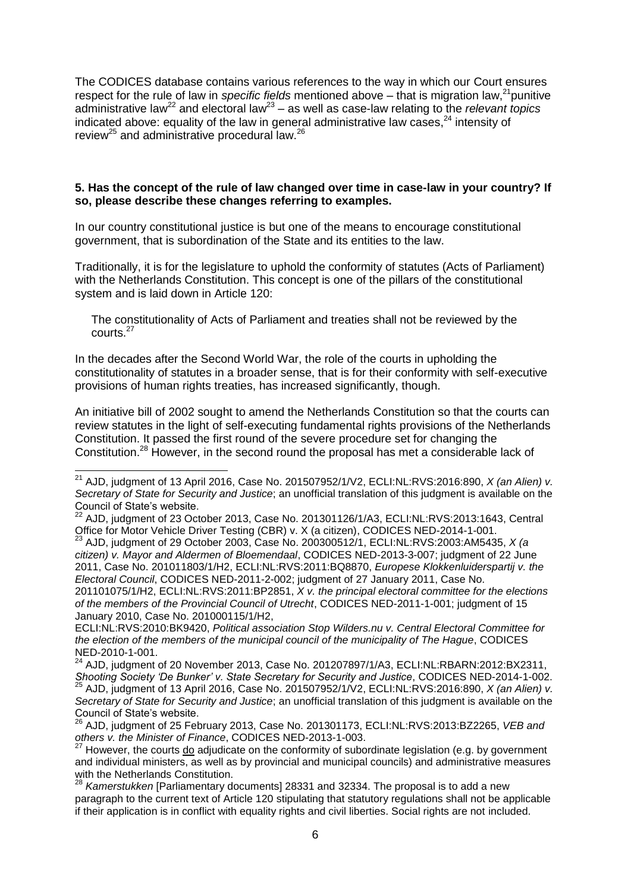The CODICES database contains various references to the way in which our Court ensures respect for the rule of law in *specific fields* mentioned above – that is migration law,<sup>21</sup> punitive administrative law<sup>22</sup> and electoral law<sup>23</sup> – as well as case-law relating to the *relevant topics* indicated above: equality of the law in general administrative law cases, $^{24}$  intensity of review<sup>25</sup> and administrative procedural law.<sup>26</sup>

#### **5. Has the concept of the rule of law changed over time in case-law in your country? If so, please describe these changes referring to examples.**

In our country constitutional justice is but one of the means to encourage constitutional government, that is subordination of the State and its entities to the law.

Traditionally, it is for the legislature to uphold the conformity of statutes (Acts of Parliament) with the Netherlands Constitution. This concept is one of the pillars of the constitutional system and is laid down in Article 120:

The constitutionality of Acts of Parliament and treaties shall not be reviewed by the courts.<sup>27</sup>

In the decades after the Second World War, the role of the courts in upholding the constitutionality of statutes in a broader sense, that is for their conformity with self-executive provisions of human rights treaties, has increased significantly, though.

An initiative bill of 2002 sought to amend the Netherlands Constitution so that the courts can review statutes in the light of self-executing fundamental rights provisions of the Netherlands Constitution. It passed the first round of the severe procedure set for changing the Constitution.<sup>28</sup> However, in the second round the proposal has met a considerable lack of

ECLI:NL:RVS:2010:BK9420, *Political association Stop Wilders.nu v. Central Electoral Committee for the election of the members of the municipal council of the municipality of The Hague*, CODICES NED-2010-1-001.

 $^{24}$  AJD, judgment of 20 November 2013, Case No. 201207897/1/A3, ECLI:NL:RBARN:2012:BX2311, *Shooting Society 'De Bunker' v. State Secretary for Security and Justice*, CODICES NED-2014-1-002.

<sup>25</sup> AJD, judgment of 13 April 2016, Case No. 201507952/1/V2, ECLI:NL:RVS:2016:890, *X (an Alien) v. Secretary of State for Security and Justice*; an unofficial translation of this judgment is available on the Council of State's website.

<sup>21</sup> AJD, judgment of 13 April 2016, Case No. 201507952/1/V2, ECLI:NL:RVS:2016:890, *X (an Alien) v. Secretary of State for Security and Justice*; an unofficial translation of this judgment is available on the Council of State's website.

 $^{22}$  AJD, judgment of 23 October 2013, Case No. 201301126/1/A3, ECLI:NL:RVS:2013:1643, Central Office for Motor Vehicle Driver Testing (CBR) v. X (a citizen), CODICES NED-2014-1-001.

<sup>23</sup> AJD, judgment of 29 October 2003, Case No. 200300512/1, ECLI:NL:RVS:2003:AM5435, *X (a citizen) v. Mayor and Aldermen of Bloemendaal*, CODICES NED-2013-3-007; judgment of 22 June 2011, Case No. 201011803/1/H2, ECLI:NL:RVS:2011:BQ8870, *Europese Klokkenluiderspartij v. the Electoral Council*, CODICES NED-2011-2-002; judgment of 27 January 2011, Case No. 201101075/1/H2, ECLI:NL:RVS:2011:BP2851, *X v. the principal electoral committee for the elections of the members of the Provincial Council of Utrecht*, CODICES NED-2011-1-001; judgment of 15 January 2010, Case No. 201000115/1/H2,

<sup>26</sup> AJD, judgment of 25 February 2013, Case No. 201301173, ECLI:NL:RVS:2013:BZ2265, *VEB and others v. the Minister of Finance*, CODICES NED-2013-1-003.

<sup>&</sup>lt;sup>27</sup> However, the courts do adjudicate on the conformity of subordinate legislation (e.g. by government and individual ministers, as well as by provincial and municipal councils) and administrative measures with the Netherlands Constitution.

<sup>28</sup> *Kamerstukken* [Parliamentary documents] 28331 and 32334. The proposal is to add a new paragraph to the current text of Article 120 stipulating that statutory regulations shall not be applicable if their application is in conflict with equality rights and civil liberties. Social rights are not included.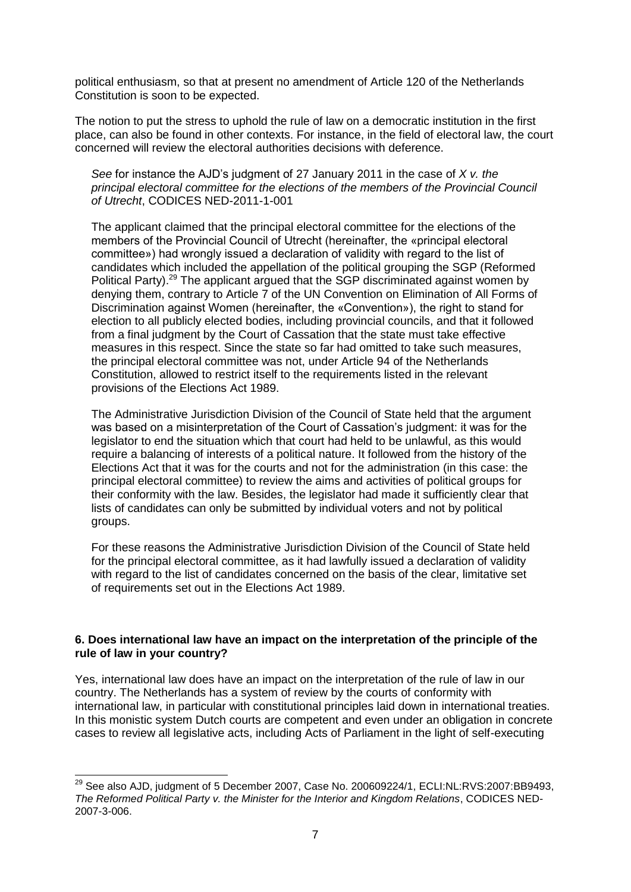political enthusiasm, so that at present no amendment of Article 120 of the Netherlands Constitution is soon to be expected.

The notion to put the stress to uphold the rule of law on a democratic institution in the first place, can also be found in other contexts. For instance, in the field of electoral law, the court concerned will review the electoral authorities decisions with deference.

*See* for instance the AJD's judgment of 27 January 2011 in the case of *X v. the principal electoral committee for the elections of the members of the Provincial Council of Utrecht*, CODICES NED-2011-1-001

The applicant claimed that the principal electoral committee for the elections of the members of the Provincial Council of Utrecht (hereinafter, the «principal electoral committee») had wrongly issued a declaration of validity with regard to the list of candidates which included the appellation of the political grouping the SGP (Reformed Political Party).<sup>29</sup> The applicant argued that the SGP discriminated against women by denying them, contrary to Article 7 of the UN Convention on Elimination of All Forms of Discrimination against Women (hereinafter, the «Convention»), the right to stand for election to all publicly elected bodies, including provincial councils, and that it followed from a final judgment by the Court of Cassation that the state must take effective measures in this respect. Since the state so far had omitted to take such measures, the principal electoral committee was not, under Article 94 of the Netherlands Constitution, allowed to restrict itself to the requirements listed in the relevant provisions of the Elections Act 1989.

The Administrative Jurisdiction Division of the Council of State held that the argument was based on a misinterpretation of the Court of Cassation's judgment: it was for the legislator to end the situation which that court had held to be unlawful, as this would require a balancing of interests of a political nature. It followed from the history of the Elections Act that it was for the courts and not for the administration (in this case: the principal electoral committee) to review the aims and activities of political groups for their conformity with the law. Besides, the legislator had made it sufficiently clear that lists of candidates can only be submitted by individual voters and not by political groups.

For these reasons the Administrative Jurisdiction Division of the Council of State held for the principal electoral committee, as it had lawfully issued a declaration of validity with regard to the list of candidates concerned on the basis of the clear, limitative set of requirements set out in the Elections Act 1989.

#### **6. Does international law have an impact on the interpretation of the principle of the rule of law in your country?**

Yes, international law does have an impact on the interpretation of the rule of law in our country. The Netherlands has a system of review by the courts of conformity with international law, in particular with constitutional principles laid down in international treaties. In this monistic system Dutch courts are competent and even under an obligation in concrete cases to review all legislative acts, including Acts of Parliament in the light of self-executing

  $^{29}$  See also AJD, judgment of 5 December 2007, Case No. 200609224/1, ECLI:NL:RVS:2007:BB9493, *The Reformed Political Party v. the Minister for the Interior and Kingdom Relations*, CODICES NED-2007-3-006.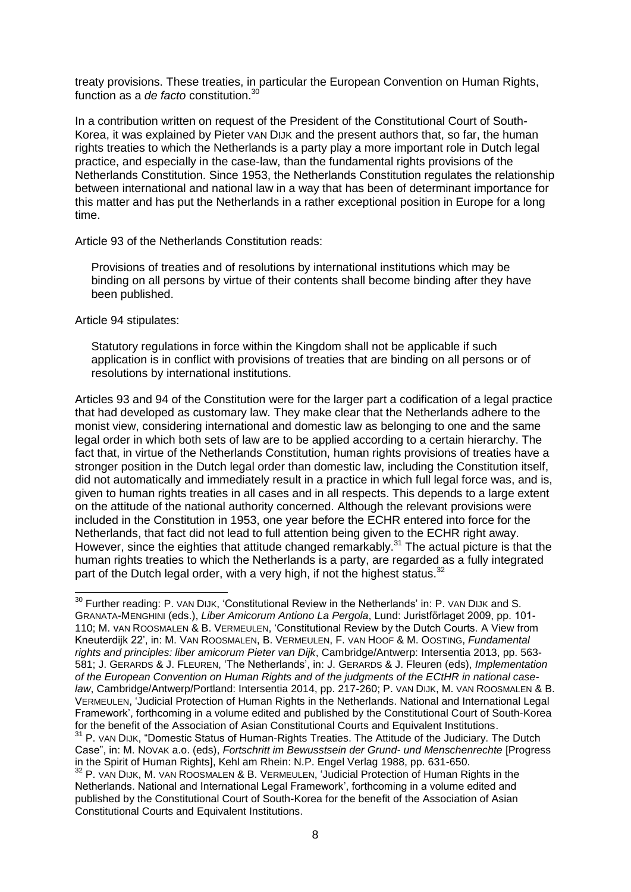treaty provisions. These treaties, in particular the European Convention on Human Rights, function as a *de facto* constitution.<sup>30</sup>

In a contribution written on request of the President of the Constitutional Court of South-Korea, it was explained by Pieter VAN DIJK and the present authors that, so far, the human rights treaties to which the Netherlands is a party play a more important role in Dutch legal practice, and especially in the case-law, than the fundamental rights provisions of the Netherlands Constitution. Since 1953, the Netherlands Constitution regulates the relationship between international and national law in a way that has been of determinant importance for this matter and has put the Netherlands in a rather exceptional position in Europe for a long time.

Article 93 of the Netherlands Constitution reads:

Provisions of treaties and of resolutions by international institutions which may be binding on all persons by virtue of their contents shall become binding after they have been published.

Article 94 stipulates:

1

Statutory regulations in force within the Kingdom shall not be applicable if such application is in conflict with provisions of treaties that are binding on all persons or of resolutions by international institutions.

Articles 93 and 94 of the Constitution were for the larger part a codification of a legal practice that had developed as customary law. They make clear that the Netherlands adhere to the monist view, considering international and domestic law as belonging to one and the same legal order in which both sets of law are to be applied according to a certain hierarchy. The fact that, in virtue of the Netherlands Constitution, human rights provisions of treaties have a stronger position in the Dutch legal order than domestic law, including the Constitution itself, did not automatically and immediately result in a practice in which full legal force was, and is, given to human rights treaties in all cases and in all respects. This depends to a large extent on the attitude of the national authority concerned. Although the relevant provisions were included in the Constitution in 1953, one year before the ECHR entered into force for the Netherlands, that fact did not lead to full attention being given to the ECHR right away. However, since the eighties that attitude changed remarkably.<sup>31</sup> The actual picture is that the human rights treaties to which the Netherlands is a party, are regarded as a fully integrated part of the Dutch legal order, with a very high, if not the highest status. $32$ 

 $^{30}$  Further reading: P. VAN DIJK, 'Constitutional Review in the Netherlands' in: P. VAN DIJK and S. GRANATA-MENGHINI (eds.), *Liber Amicorum Antiono La Pergola*, Lund: Juristförlaget 2009, pp. 101- 110; M. vAN ROOSMALEN & B. VERMEULEN, 'Constitutional Review by the Dutch Courts. A View from Kneuterdijk 22', in: M. VAN ROOSMALEN, B. VERMEULEN, F. VAN HOOF & M. OOSTING, *Fundamental rights and principles: liber amicorum Pieter van Dijk*, Cambridge/Antwerp: Intersentia 2013, pp. 563- 581; J. GERARDS & J. FLEUREN, 'The Netherlands', in: J. GERARDS & J. Fleuren (eds), *Implementation of the European Convention on Human Rights and of the judgments of the ECtHR in national caselaw*, Cambridge/Antwerp/Portland: Intersentia 2014, pp. 217-260; P. VAN DIJK, M. VAN ROOSMALEN & B. VERMEULEN, 'Judicial Protection of Human Rights in the Netherlands. National and International Legal Framework', forthcoming in a volume edited and published by the Constitutional Court of South-Korea for the benefit of the Association of Asian Constitutional Courts and Equivalent Institutions.

<sup>&</sup>lt;sup>31</sup> P. VAN DIJK, "Domestic Status of Human-Rights Treaties. The Attitude of the Judiciary. The Dutch Case", in: M. NOVAK a.o. (eds), *Fortschritt im Bewusstsein der Grund- und Menschenrechte* [Progress in the Spirit of Human Rights], Kehl am Rhein: N.P. Engel Verlag 1988, pp. 631-650.

<sup>&</sup>lt;sup>32</sup> P. VAN DIJK, M. VAN ROOSMALEN & B. VERMEULEN, 'Judicial Protection of Human Rights in the Netherlands. National and International Legal Framework', forthcoming in a volume edited and published by the Constitutional Court of South-Korea for the benefit of the Association of Asian Constitutional Courts and Equivalent Institutions.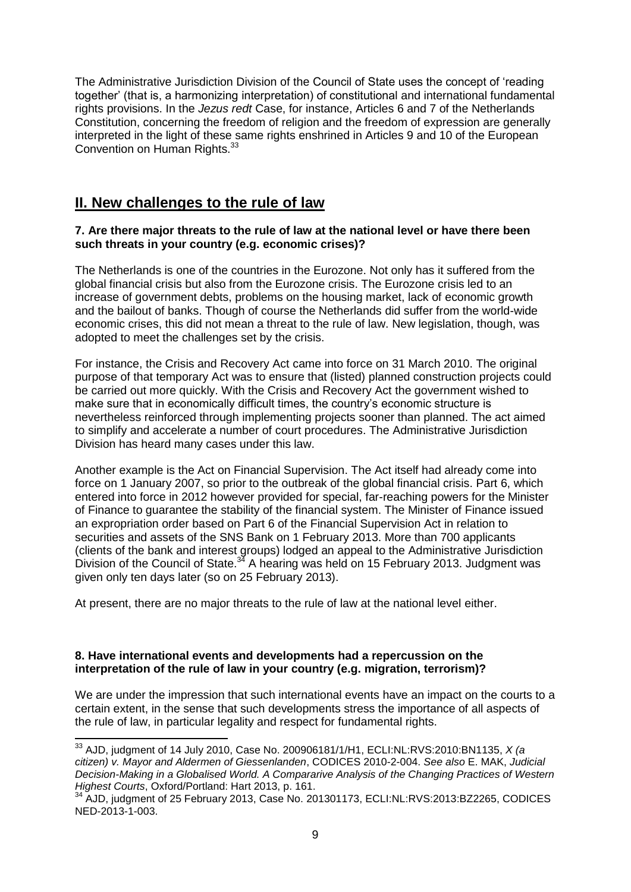The Administrative Jurisdiction Division of the Council of State uses the concept of 'reading together' (that is, a harmonizing interpretation) of constitutional and international fundamental rights provisions. In the *Jezus redt* Case, for instance, Articles 6 and 7 of the Netherlands Constitution, concerning the freedom of religion and the freedom of expression are generally interpreted in the light of these same rights enshrined in Articles 9 and 10 of the European Convention on Human Rights.<sup>33</sup>

## **II. New challenges to the rule of law**

#### **7. Are there major threats to the rule of law at the national level or have there been such threats in your country (e.g. economic crises)?**

The Netherlands is one of the countries in the Eurozone. Not only has it suffered from the global financial crisis but also from the Eurozone crisis. The Eurozone crisis led to an increase of government debts, problems on the housing market, lack of economic growth and the bailout of banks. Though of course the Netherlands did suffer from the world-wide economic crises, this did not mean a threat to the rule of law. New legislation, though, was adopted to meet the challenges set by the crisis.

For instance, the Crisis and Recovery Act came into force on 31 March 2010. The original purpose of that temporary Act was to ensure that (listed) planned construction projects could be carried out more quickly. With the Crisis and Recovery Act the government wished to make sure that in economically difficult times, the country's economic structure is nevertheless reinforced through implementing projects sooner than planned. The act aimed to simplify and accelerate a number of court procedures. The Administrative Jurisdiction Division has heard many cases under this law.

Another example is the Act on Financial Supervision. The Act itself had already come into force on 1 January 2007, so prior to the outbreak of the global financial crisis. Part 6, which entered into force in 2012 however provided for special, far-reaching powers for the Minister of Finance to guarantee the stability of the financial system. The Minister of Finance issued an expropriation order based on Part 6 of the Financial Supervision Act in relation to securities and assets of the SNS Bank on 1 February 2013. More than 700 applicants (clients of the bank and interest groups) lodged an appeal to the Administrative Jurisdiction Division of the Council of State. $34$  A hearing was held on 15 February 2013. Judgment was given only ten days later (so on 25 February 2013).

At present, there are no major threats to the rule of law at the national level either.

#### **8. Have international events and developments had a repercussion on the interpretation of the rule of law in your country (e.g. migration, terrorism)?**

We are under the impression that such international events have an impact on the courts to a certain extent, in the sense that such developments stress the importance of all aspects of the rule of law, in particular legality and respect for fundamental rights.

<sup>33</sup> AJD, judgment of 14 July 2010, Case No. 200906181/1/H1, ECLI:NL:RVS:2010:BN1135, *X (a citizen) v. Mayor and Aldermen of Giessenlanden*, CODICES 2010-2-004. *See also* E. MAK, *Judicial Decision-Making in a Globalised World. A Compararive Analysis of the Changing Practices of Western Highest Courts*, Oxford/Portland: Hart 2013, p. 161.

<sup>&</sup>lt;sup>34</sup> AJD, judgment of 25 February 2013, Case No. 201301173, ECLI:NL:RVS:2013:BZ2265, CODICES NED-2013-1-003.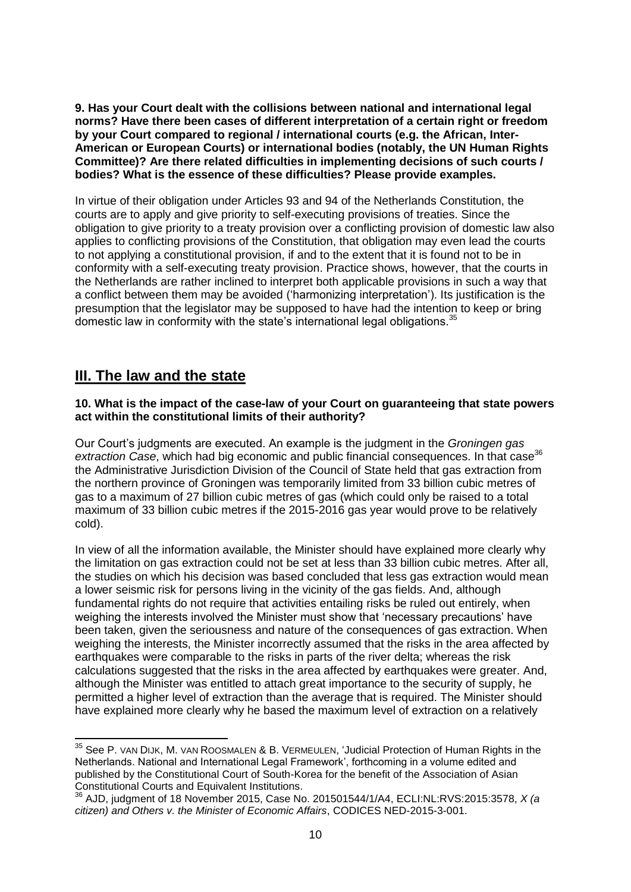**9. Has your Court dealt with the collisions between national and international legal norms? Have there been cases of different interpretation of a certain right or freedom by your Court compared to regional / international courts (e.g. the African, Inter-American or European Courts) or international bodies (notably, the UN Human Rights Committee)? Are there related difficulties in implementing decisions of such courts / bodies? What is the essence of these difficulties? Please provide examples.**

In virtue of their obligation under Articles 93 and 94 of the Netherlands Constitution, the courts are to apply and give priority to self-executing provisions of treaties. Since the obligation to give priority to a treaty provision over a conflicting provision of domestic law also applies to conflicting provisions of the Constitution, that obligation may even lead the courts to not applying a constitutional provision, if and to the extent that it is found not to be in conformity with a self-executing treaty provision. Practice shows, however, that the courts in the Netherlands are rather inclined to interpret both applicable provisions in such a way that a conflict between them may be avoided ('harmonizing interpretation'). Its justification is the presumption that the legislator may be supposed to have had the intention to keep or bring domestic law in conformity with the state's international legal obligations.<sup>35</sup>

## **III. The law and the state**

#### **10. What is the impact of the case-law of your Court on guaranteeing that state powers act within the constitutional limits of their authority?**

Our Court's judgments are executed. An example is the judgment in the *Groningen gas*  extraction Case, which had big economic and public financial consequences. In that case<sup>36</sup> the Administrative Jurisdiction Division of the Council of State held that gas extraction from the northern province of Groningen was temporarily limited from 33 billion cubic metres of gas to a maximum of 27 billion cubic metres of gas (which could only be raised to a total maximum of 33 billion cubic metres if the 2015-2016 gas year would prove to be relatively cold).

In view of all the information available, the Minister should have explained more clearly why the limitation on gas extraction could not be set at less than 33 billion cubic metres. After all, the studies on which his decision was based concluded that less gas extraction would mean a lower seismic risk for persons living in the vicinity of the gas fields. And, although fundamental rights do not require that activities entailing risks be ruled out entirely, when weighing the interests involved the Minister must show that 'necessary precautions' have been taken, given the seriousness and nature of the consequences of gas extraction. When weighing the interests, the Minister incorrectly assumed that the risks in the area affected by earthquakes were comparable to the risks in parts of the river delta; whereas the risk calculations suggested that the risks in the area affected by earthquakes were greater. And, although the Minister was entitled to attach great importance to the security of supply, he permitted a higher level of extraction than the average that is required. The Minister should have explained more clearly why he based the maximum level of extraction on a relatively

  $35$  See P. van Dijk, M. van Roosmalen & B. Vermeulen, 'Judicial Protection of Human Rights in the Netherlands. National and International Legal Framework', forthcoming in a volume edited and published by the Constitutional Court of South-Korea for the benefit of the Association of Asian Constitutional Courts and Equivalent Institutions.

<sup>36</sup> AJD, judgment of 18 November 2015, Case No. 201501544/1/A4, ECLI:NL:RVS:2015:3578, *X (a citizen) and Others v. the Minister of Economic Affairs*, CODICES NED-2015-3-001.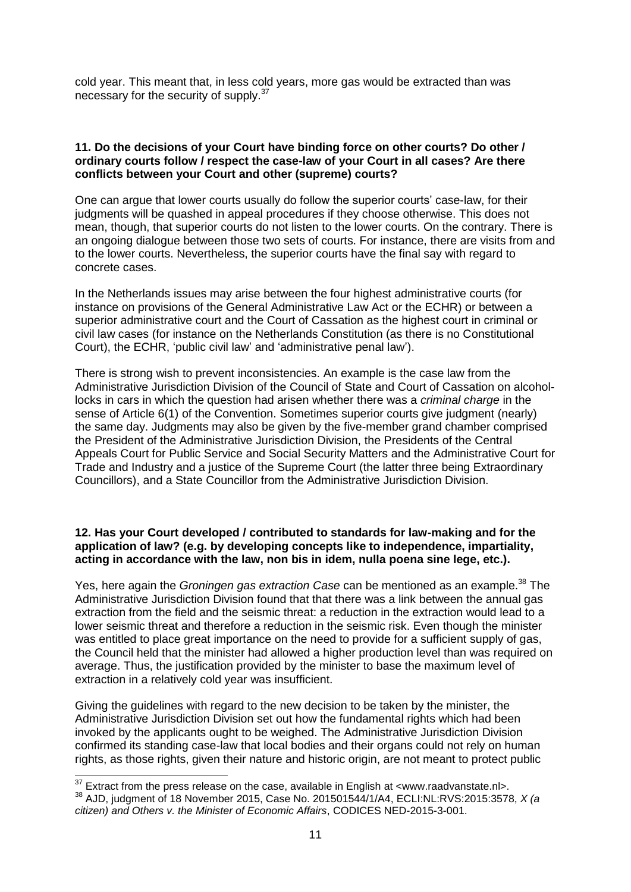cold year. This meant that, in less cold years, more gas would be extracted than was necessary for the security of supply.<sup>37</sup>

#### **11. Do the decisions of your Court have binding force on other courts? Do other / ordinary courts follow / respect the case-law of your Court in all cases? Are there conflicts between your Court and other (supreme) courts?**

One can argue that lower courts usually do follow the superior courts' case-law, for their judgments will be quashed in appeal procedures if they choose otherwise. This does not mean, though, that superior courts do not listen to the lower courts. On the contrary. There is an ongoing dialogue between those two sets of courts. For instance, there are visits from and to the lower courts. Nevertheless, the superior courts have the final say with regard to concrete cases.

In the Netherlands issues may arise between the four highest administrative courts (for instance on provisions of the General Administrative Law Act or the ECHR) or between a superior administrative court and the Court of Cassation as the highest court in criminal or civil law cases (for instance on the Netherlands Constitution (as there is no Constitutional Court), the ECHR, 'public civil law' and 'administrative penal law').

There is strong wish to prevent inconsistencies. An example is the case law from the Administrative Jurisdiction Division of the Council of State and Court of Cassation on alcohollocks in cars in which the question had arisen whether there was a *criminal charge* in the sense of Article 6(1) of the Convention. Sometimes superior courts give judgment (nearly) the same day. Judgments may also be given by the five-member grand chamber comprised the President of the Administrative Jurisdiction Division, the Presidents of the Central Appeals Court for Public Service and Social Security Matters and the Administrative Court for Trade and Industry and a justice of the Supreme Court (the latter three being Extraordinary Councillors), and a State Councillor from the Administrative Jurisdiction Division.

#### **12. Has your Court developed / contributed to standards for law-making and for the application of law? (e.g. by developing concepts like to independence, impartiality, acting in accordance with the law, non bis in idem, nulla poena sine lege, etc.).**

Yes, here again the *Groningen gas extraction Case* can be mentioned as an example.<sup>38</sup> The Administrative Jurisdiction Division found that that there was a link between the annual gas extraction from the field and the seismic threat: a reduction in the extraction would lead to a lower seismic threat and therefore a reduction in the seismic risk. Even though the minister was entitled to place great importance on the need to provide for a sufficient supply of gas, the Council held that the minister had allowed a higher production level than was required on average. Thus, the justification provided by the minister to base the maximum level of extraction in a relatively cold year was insufficient.

Giving the guidelines with regard to the new decision to be taken by the minister, the Administrative Jurisdiction Division set out how the fundamental rights which had been invoked by the applicants ought to be weighed. The Administrative Jurisdiction Division confirmed its standing case-law that local bodies and their organs could not rely on human rights, as those rights, given their nature and historic origin, are not meant to protect public

 $37$  Extract from the press release on the case, available in English at <www.raadvanstate.nl>. <sup>38</sup> AJD, judgment of 18 November 2015, Case No. 201501544/1/A4, ECLI:NL:RVS:2015:3578, *X (a citizen) and Others v. the Minister of Economic Affairs*, CODICES NED-2015-3-001.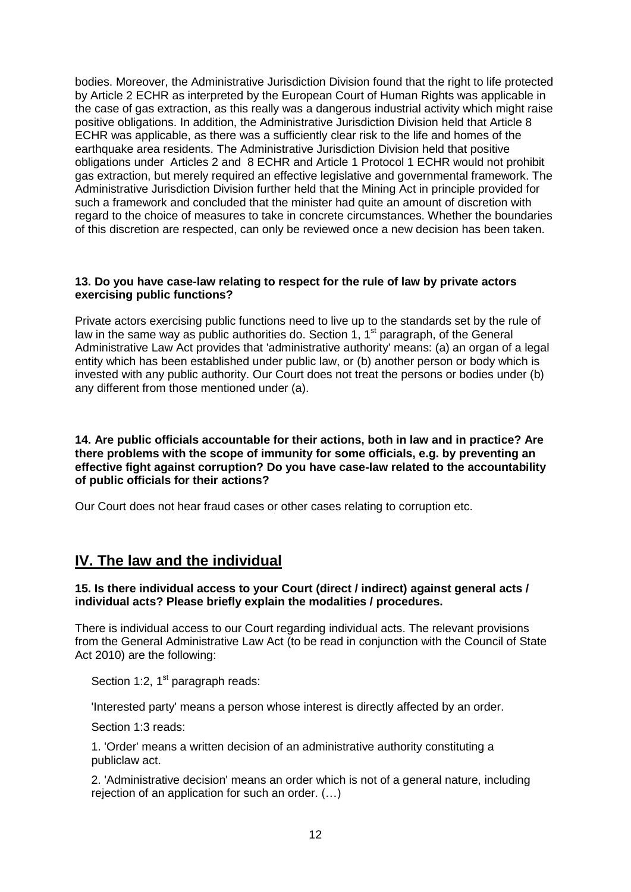bodies. Moreover, the Administrative Jurisdiction Division found that the right to life protected by Article 2 ECHR as interpreted by the European Court of Human Rights was applicable in the case of gas extraction, as this really was a dangerous industrial activity which might raise positive obligations. In addition, the Administrative Jurisdiction Division held that Article 8 ECHR was applicable, as there was a sufficiently clear risk to the life and homes of the earthquake area residents. The Administrative Jurisdiction Division held that positive obligations under Articles 2 and 8 ECHR and Article 1 Protocol 1 ECHR would not prohibit gas extraction, but merely required an effective legislative and governmental framework. The Administrative Jurisdiction Division further held that the Mining Act in principle provided for such a framework and concluded that the minister had quite an amount of discretion with regard to the choice of measures to take in concrete circumstances. Whether the boundaries of this discretion are respected, can only be reviewed once a new decision has been taken.

#### **13. Do you have case-law relating to respect for the rule of law by private actors exercising public functions?**

Private actors exercising public functions need to live up to the standards set by the rule of law in the same way as public authorities do. Section 1,  $1<sup>st</sup>$  paragraph, of the General Administrative Law Act provides that 'administrative authority' means: (a) an organ of a legal entity which has been established under public law, or (b) another person or body which is invested with any public authority. Our Court does not treat the persons or bodies under (b) any different from those mentioned under (a).

**14. Are public officials accountable for their actions, both in law and in practice? Are there problems with the scope of immunity for some officials, e.g. by preventing an effective fight against corruption? Do you have case-law related to the accountability of public officials for their actions?**

Our Court does not hear fraud cases or other cases relating to corruption etc.

## **IV. The law and the individual**

#### **15. Is there individual access to your Court (direct / indirect) against general acts / individual acts? Please briefly explain the modalities / procedures.**

There is individual access to our Court regarding individual acts. The relevant provisions from the General Administrative Law Act (to be read in conjunction with the Council of State Act 2010) are the following:

Section 1:2,  $1<sup>st</sup>$  paragraph reads:

'Interested party' means a person whose interest is directly affected by an order.

Section 1:3 reads:

1. 'Order' means a written decision of an administrative authority constituting a publiclaw act.

2. 'Administrative decision' means an order which is not of a general nature, including rejection of an application for such an order. (…)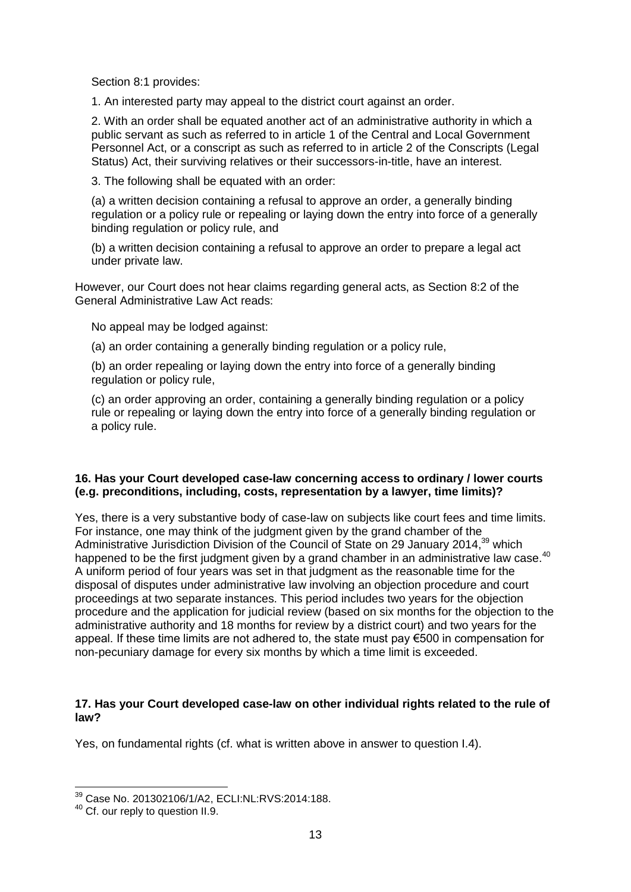Section 8:1 provides:

1. An interested party may appeal to the district court against an order.

2. With an order shall be equated another act of an administrative authority in which a public servant as such as referred to in article 1 of the Central and Local Government Personnel Act, or a conscript as such as referred to in article 2 of the Conscripts (Legal Status) Act, their surviving relatives or their successors-in-title, have an interest.

3. The following shall be equated with an order:

(a) a written decision containing a refusal to approve an order, a generally binding regulation or a policy rule or repealing or laying down the entry into force of a generally binding regulation or policy rule, and

(b) a written decision containing a refusal to approve an order to prepare a legal act under private law.

However, our Court does not hear claims regarding general acts, as Section 8:2 of the General Administrative Law Act reads:

No appeal may be lodged against:

(a) an order containing a generally binding regulation or a policy rule,

(b) an order repealing or laying down the entry into force of a generally binding regulation or policy rule,

(c) an order approving an order, containing a generally binding regulation or a policy rule or repealing or laying down the entry into force of a generally binding regulation or a policy rule.

#### **16. Has your Court developed case-law concerning access to ordinary / lower courts (e.g. preconditions, including, costs, representation by a lawyer, time limits)?**

Yes, there is a very substantive body of case-law on subjects like court fees and time limits. For instance, one may think of the judgment given by the grand chamber of the Administrative Jurisdiction Division of the Council of State on 29 January 2014,<sup>39</sup> which happened to be the first judgment given by a grand chamber in an administrative law case.<sup>40</sup> A uniform period of four years was set in that judgment as the reasonable time for the disposal of disputes under administrative law involving an objection procedure and court proceedings at two separate instances. This period includes two years for the objection procedure and the application for judicial review (based on six months for the objection to the administrative authority and 18 months for review by a district court) and two years for the appeal. If these time limits are not adhered to, the state must pay €500 in compensation for non-pecuniary damage for every six months by which a time limit is exceeded.

#### **17. Has your Court developed case-law on other individual rights related to the rule of law?**

Yes, on fundamental rights (cf. what is written above in answer to question I.4).

1

<sup>39</sup> Case No. 201302106/1/A2, ECLI:NL:RVS:2014:188.

<sup>40</sup> Cf. our reply to question II.9.